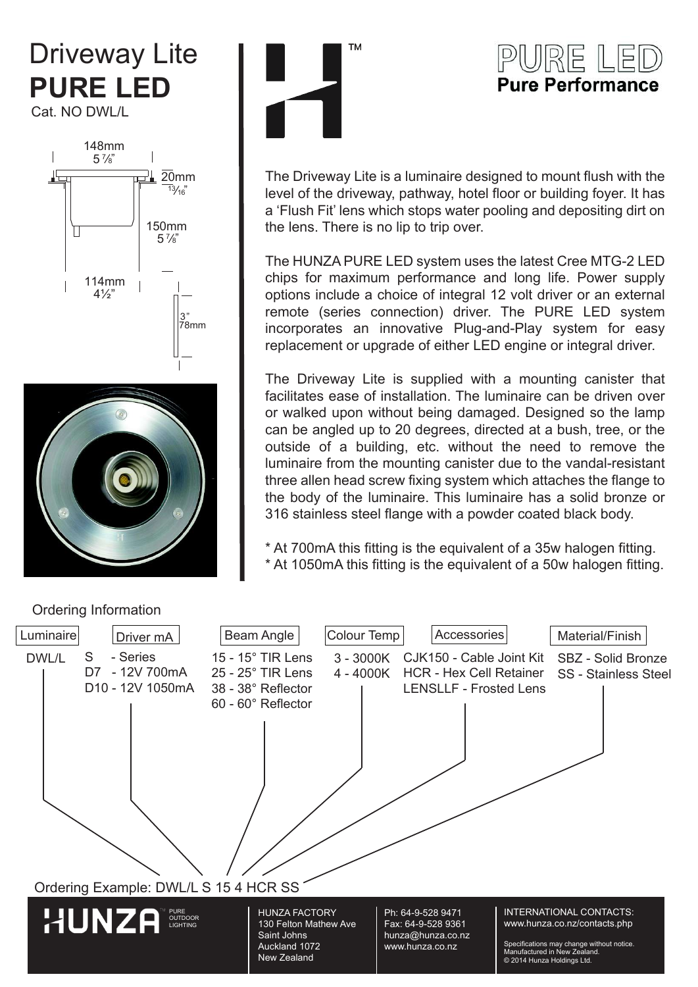# Driveway Lite **PURE LED**

Cat. NO DWL/L







## PURE LEI **Pure Performance**

The Driveway Lite is a luminaire designed to mount flush with the level of the driveway, pathway, hotel floor or building foyer. It has a 'Flush Fit' lens which stops water pooling and depositing dirt on the lens. There is no lip to trip over.

The HUNZA PURE LED system uses the latest Cree MTG-2 LED chips for maximum performance and long life. Power supply options include a choice of integral 12 volt driver or an external remote (series connection) driver. The PURE LED system incorporates an innovative Plug-and-Play system for easy replacement or upgrade of either LED engine or integral driver.

The Driveway Lite is supplied with a mounting canister that facilitates ease of installation. The luminaire can be driven over or walked upon without being damaged. Designed so the lamp can be angled up to 20 degrees, directed at a bush, tree, or the outside of a building, etc. without the need to remove the luminaire from the mounting canister due to the vandal-resistant three allen head screw fixing system which attaches the flange to the body of the luminaire. This luminaire has a solid bronze or 316 stainless steel flange with a powder coated black body.

\* At 700mA this fitting is the equivalent of a 35w halogen fitting. \* At 1050mA this fitting is the equivalent of a 50w halogen fitting.